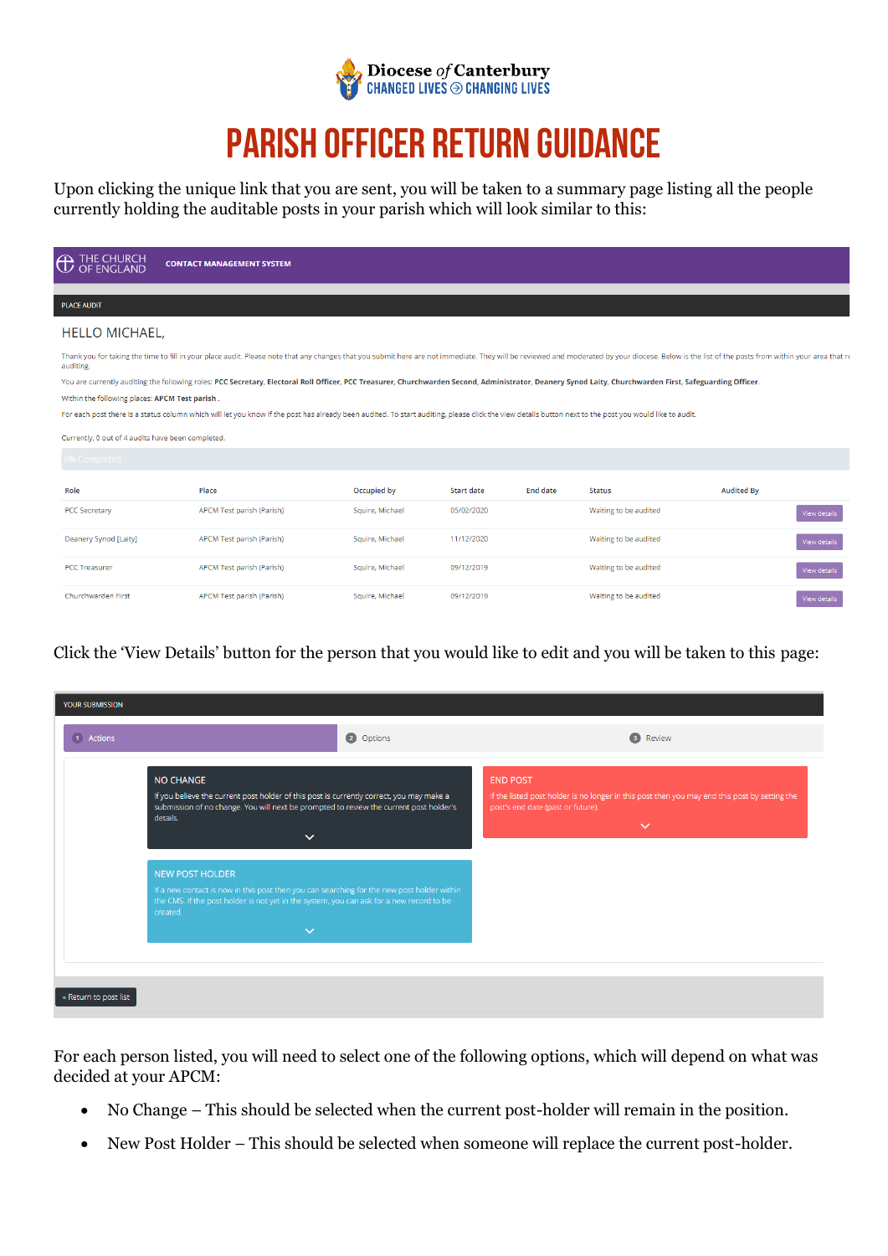

# **Parish Officer Return Guidance**

Upon clicking the unique link that you are sent, you will be taken to a summary page listing all the people currently holding the auditable posts in your parish which will look similar to this:

| <b>A</b> THE CHURCH<br>OF ENGLAND                 | <b>CONTACT MANAGEMENT SYSTEM</b>                                                                                                                                                                                               |                 |                   |                 |                       |                   |                     |
|---------------------------------------------------|--------------------------------------------------------------------------------------------------------------------------------------------------------------------------------------------------------------------------------|-----------------|-------------------|-----------------|-----------------------|-------------------|---------------------|
|                                                   |                                                                                                                                                                                                                                |                 |                   |                 |                       |                   |                     |
| <b>PLACE AUDIT</b>                                |                                                                                                                                                                                                                                |                 |                   |                 |                       |                   |                     |
| <b>HELLO MICHAEL,</b>                             |                                                                                                                                                                                                                                |                 |                   |                 |                       |                   |                     |
| auditing.                                         | Thank you for taking the time to fill in your place audit. Please note that any changes that you submit here are not immediate. They will be reviewed and moderated by your diocese. Below is the list of the posts from withi |                 |                   |                 |                       |                   |                     |
|                                                   | You are currently auditing the following roles: PCC Secretary, Electoral Roll Officer, PCC Treasurer, Churchwarden Second, Administrator, Deanery Synod Laity, Churchwarden First, Safeguarding Officer.                       |                 |                   |                 |                       |                   |                     |
| Within the following places: APCM Test parish.    |                                                                                                                                                                                                                                |                 |                   |                 |                       |                   |                     |
|                                                   | For each post there is a status column which will let you know if the post has already been audited. To start auditing, please click the view details button next to the post you would like to audit.                         |                 |                   |                 |                       |                   |                     |
| Currently, 0 out of 4 audits have been completed. |                                                                                                                                                                                                                                |                 |                   |                 |                       |                   |                     |
| 0% Completed                                      |                                                                                                                                                                                                                                |                 |                   |                 |                       |                   |                     |
| Role                                              | Place                                                                                                                                                                                                                          | Occupied by     | <b>Start date</b> | <b>End date</b> | <b>Status</b>         | <b>Audited By</b> |                     |
| <b>PCC Secretary</b>                              | APCM Test parish (Parish)                                                                                                                                                                                                      | Squire, Michael | 05/02/2020        |                 | Waiting to be audited |                   | View details        |
| Deanery Synod [Laity]                             | APCM Test parish (Parish)                                                                                                                                                                                                      | Squire, Michael | 11/12/2020        |                 | Waiting to be audited |                   | View details        |
| <b>PCC Treasurer</b>                              | APCM Test parish (Parish)                                                                                                                                                                                                      | Squire, Michael | 09/12/2019        |                 | Waiting to be audited |                   | <b>View details</b> |
| Churchwarden First                                | APCM Test parish (Parish)                                                                                                                                                                                                      | Squire, Michael | 09/12/2019        |                 | Waiting to be audited |                   | View details        |

Click the 'View Details' button for the person that you would like to edit and you will be taken to this page:

| <b>YOUR SUBMISSION</b> |                                                                                                                                                                                                                                              |                                                                                                                                                                       |
|------------------------|----------------------------------------------------------------------------------------------------------------------------------------------------------------------------------------------------------------------------------------------|-----------------------------------------------------------------------------------------------------------------------------------------------------------------------|
| 1 Actions              | 2 Options                                                                                                                                                                                                                                    | $\bullet$<br>Review                                                                                                                                                   |
|                        | <b>NO CHANGE</b><br>If you believe the current post holder of this post is currently correct, you may make a<br>submission of no change. You will next be prompted to review the current post holder's<br>details.<br>$\checkmark$           | <b>END POST</b><br>If the listed post holder is no longer in this post then you may end this post by setting the<br>post's end date (past or future).<br>$\checkmark$ |
|                        | <b>NEW POST HOLDER</b><br>If a new contact is now in this post then you can searching for the new post holder within<br>the CMS. If the post holder is not yet in the system, you can ask for a new record to be<br>created.<br>$\checkmark$ |                                                                                                                                                                       |
| « Return to post list  |                                                                                                                                                                                                                                              |                                                                                                                                                                       |

For each person listed, you will need to select one of the following options, which will depend on what was decided at your APCM:

- No Change This should be selected when the current post-holder will remain in the position.
- New Post Holder This should be selected when someone will replace the current post-holder.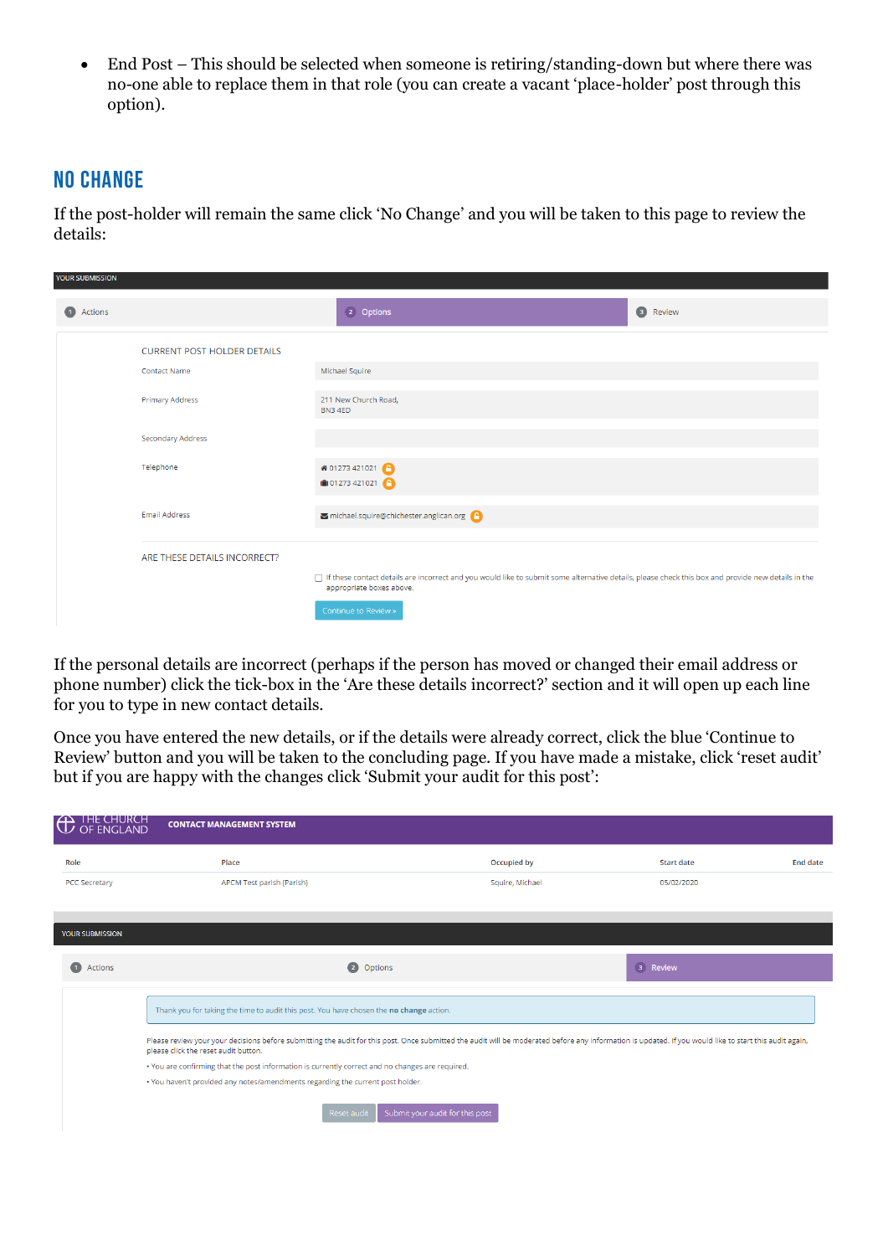• End Post – This should be selected when someone is retiring/standing-down but where there was no-one able to replace them in that role (you can create a vacant 'place-holder' post through this option).

### **No Change**

If the post-holder will remain the same click 'No Change' and you will be taken to this page to review the details:

| YOUR SUBMISSION |                                    |                                                                                                                                                                                  |          |
|-----------------|------------------------------------|----------------------------------------------------------------------------------------------------------------------------------------------------------------------------------|----------|
| 1 Actions       |                                    | 2 Options                                                                                                                                                                        | 3 Review |
|                 | <b>CURRENT POST HOLDER DETAILS</b> |                                                                                                                                                                                  |          |
|                 | <b>Contact Name</b>                | Michael Squire                                                                                                                                                                   |          |
|                 | <b>Primary Address</b>             | 211 New Church Road,<br>BN34ED                                                                                                                                                   |          |
|                 | Secondary Address                  |                                                                                                                                                                                  |          |
|                 | Telephone                          | 希 01273 421021 ●<br>$\binom{6}{10}$ 01273 421021                                                                                                                                 |          |
|                 | <b>Email Address</b>               | michael.squire@chichester.anglican.org                                                                                                                                           |          |
|                 | ARE THESE DETAILS INCORRECT?       |                                                                                                                                                                                  |          |
|                 |                                    | □ If these contact details are incorrect and you would like to submit some alternative details, please check this box and provide new details in the<br>appropriate boxes above. |          |
|                 |                                    | Continue to Review »                                                                                                                                                             |          |

If the personal details are incorrect (perhaps if the person has moved or changed their email address or phone number) click the tick-box in the 'Are these details incorrect?' section and it will open up each line for you to type in new contact details.

Once you have entered the new details, or if the details were already correct, click the blue 'Continue to Review' button and you will be taken to the concluding page. If you have made a mistake, click 'reset audit' but if you are happy with the changes click 'Submit your audit for this post':

| <b>CO</b> THE CHURCH   | <b>CONTACT MANAGEMENT SYSTEM</b>                                                                                                                                                                                                                |                                 |                   |                 |
|------------------------|-------------------------------------------------------------------------------------------------------------------------------------------------------------------------------------------------------------------------------------------------|---------------------------------|-------------------|-----------------|
| Role                   | Place                                                                                                                                                                                                                                           | Occupied by                     | <b>Start date</b> | <b>End date</b> |
| <b>PCC Secretary</b>   | APCM Test parish (Parish)                                                                                                                                                                                                                       | Squire, Michael                 | 05/02/2020        |                 |
| <b>YOUR SUBMISSION</b> |                                                                                                                                                                                                                                                 |                                 |                   |                 |
| <b>1</b> Actions       | 2 Options                                                                                                                                                                                                                                       |                                 | 3 Review          |                 |
|                        | Thank you for taking the time to audit this post. You have chosen the no change action.                                                                                                                                                         |                                 |                   |                 |
|                        | Please review your your decisions before submitting the audit for this post. Once submitted the audit will be moderated before any information is updated. If you would like to start this audit again,<br>please click the reset audit button. |                                 |                   |                 |
|                        | . You are confirming that the post information is currently correct and no changes are required.                                                                                                                                                |                                 |                   |                 |
|                        | . You haven't provided any notes/amendments regarding the current post holder.                                                                                                                                                                  |                                 |                   |                 |
|                        | Reset audit                                                                                                                                                                                                                                     | Submit your audit for this post |                   |                 |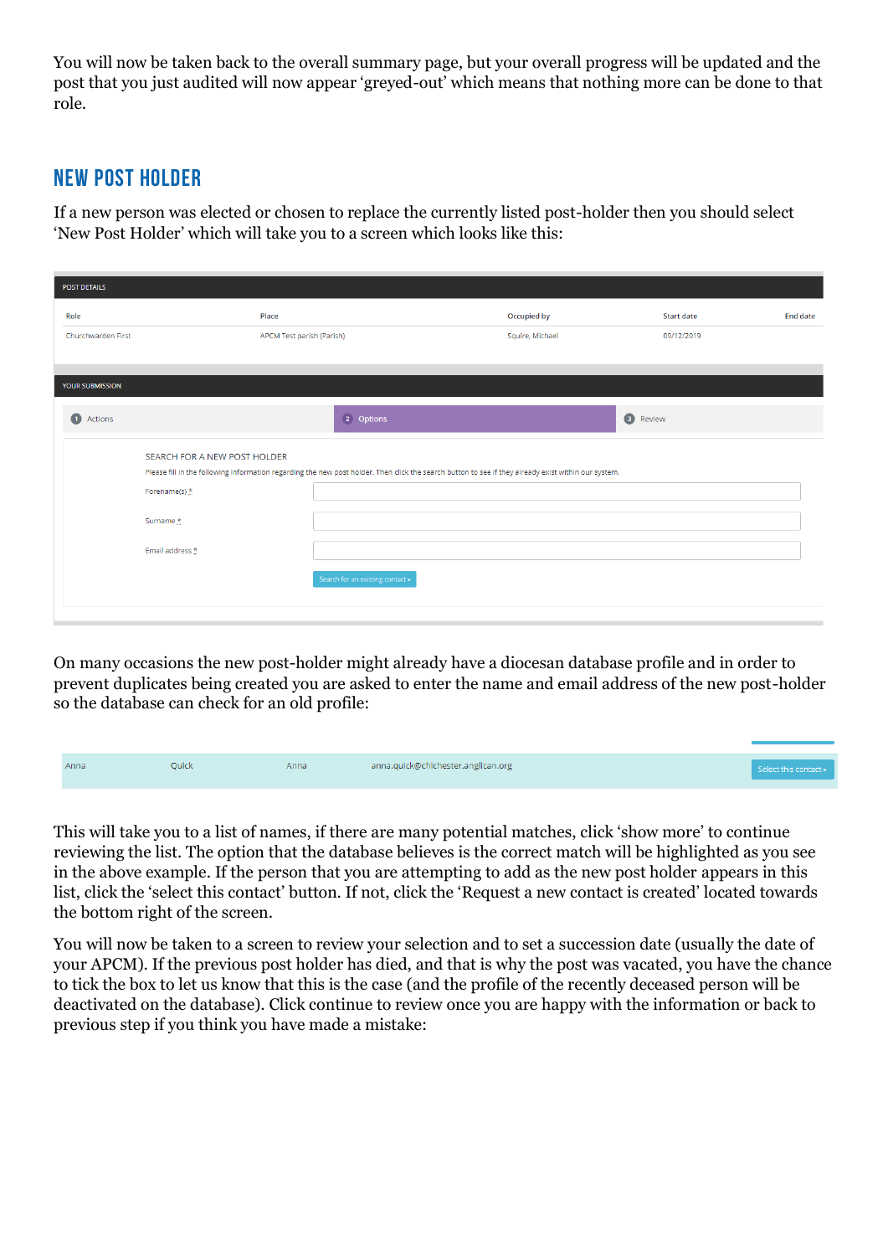You will now be taken back to the overall summary page, but your overall progress will be updated and the post that you just audited will now appear 'greyed-out' which means that nothing more can be done to that role.

# **New Post Holder**

If a new person was elected or chosen to replace the currently listed post-holder then you should select 'New Post Holder' which will take you to a screen which looks like this:

| <b>POST DETAILS</b>          |                                                                                                                                                      |                 |                   |          |
|------------------------------|------------------------------------------------------------------------------------------------------------------------------------------------------|-----------------|-------------------|----------|
| Role                         | Place                                                                                                                                                | Occupied by     | <b>Start date</b> | End date |
| Churchwarden First           | APCM Test parish (Parish)                                                                                                                            | Squire, Michael | 09/12/2019        |          |
|                              |                                                                                                                                                      |                 |                   |          |
| <b>YOUR SUBMISSION</b>       |                                                                                                                                                      |                 |                   |          |
| <b>1</b> Actions             | 2 Options                                                                                                                                            |                 | <b>B</b> Review   |          |
| SEARCH FOR A NEW POST HOLDER |                                                                                                                                                      |                 |                   |          |
|                              | Please fill in the following information regarding the new post holder. Then click the search button to see if they already exist within our system. |                 |                   |          |
| Forename(s) *                |                                                                                                                                                      |                 |                   |          |
| Surname*                     |                                                                                                                                                      |                 |                   |          |
| Email address *              |                                                                                                                                                      |                 |                   |          |
|                              | Search for an existing contact »                                                                                                                     |                 |                   |          |
|                              |                                                                                                                                                      |                 |                   |          |

On many occasions the new post-holder might already have a diocesan database profile and in order to prevent duplicates being created you are asked to enter the name and email address of the new post-holder so the database can check for an old profile:

| Anna | <b>Ouick</b> | Anna | anna.quick@chichester.anglican.org | Select this contact » |
|------|--------------|------|------------------------------------|-----------------------|

This will take you to a list of names, if there are many potential matches, click 'show more' to continue reviewing the list. The option that the database believes is the correct match will be highlighted as you see in the above example. If the person that you are attempting to add as the new post holder appears in this list, click the 'select this contact' button. If not, click the 'Request a new contact is created' located towards the bottom right of the screen.

You will now be taken to a screen to review your selection and to set a succession date (usually the date of your APCM). If the previous post holder has died, and that is why the post was vacated, you have the chance to tick the box to let us know that this is the case (and the profile of the recently deceased person will be deactivated on the database). Click continue to review once you are happy with the information or back to previous step if you think you have made a mistake: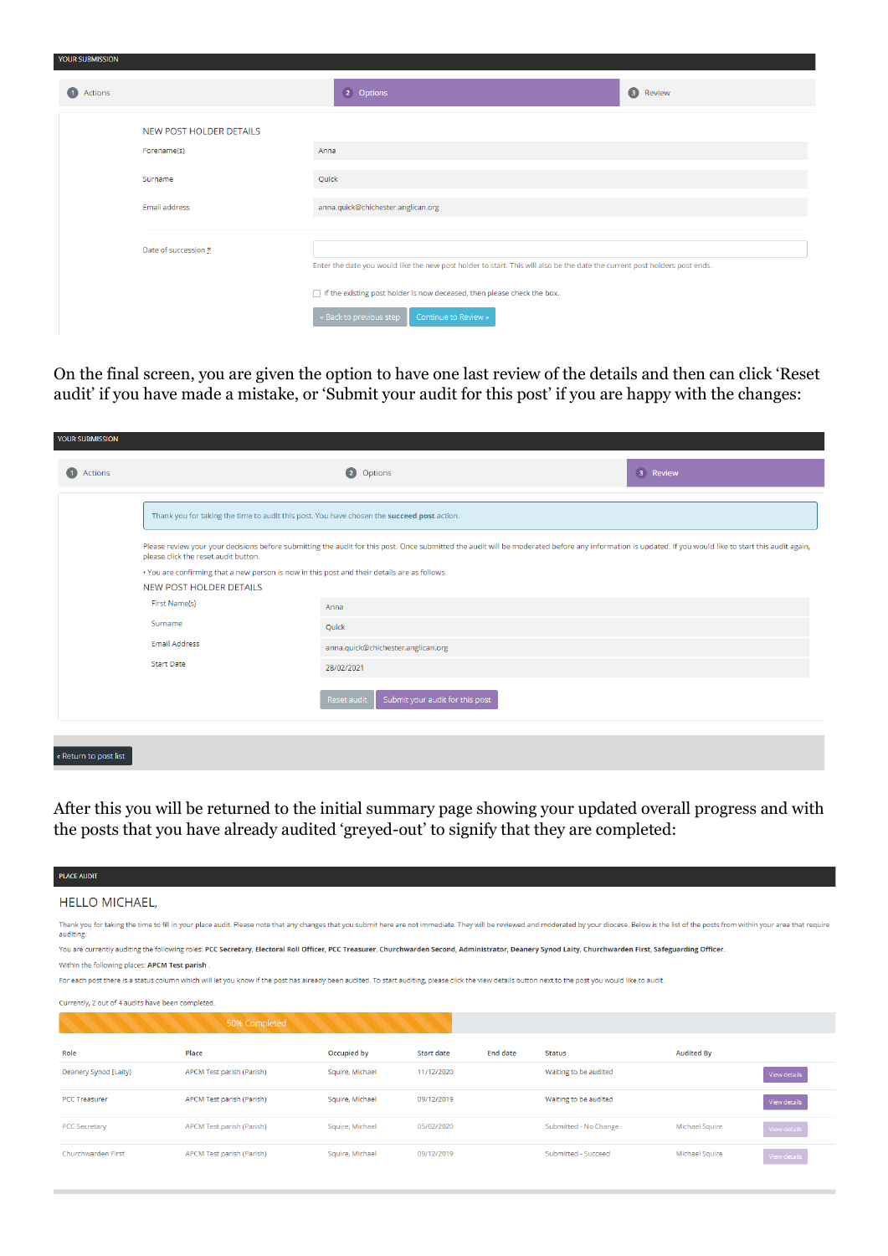| <b>1</b> Actions |                                        | 2 Options                                                                                                                    | 3 Review |  |  |  |
|------------------|----------------------------------------|------------------------------------------------------------------------------------------------------------------------------|----------|--|--|--|
|                  | NEW POST HOLDER DETAILS<br>Forename(s) | Anna                                                                                                                         |          |  |  |  |
|                  | Surname                                | Quick                                                                                                                        |          |  |  |  |
|                  | Email address                          | anna.quick@chichester.anglican.org                                                                                           |          |  |  |  |
|                  | Date of succession *                   | Enter the date you would like the new post holder to start. This will also be the date the current post holders post ends.   |          |  |  |  |
|                  |                                        | □ If the existing post holder is now deceased, then please check the box.<br>Continue to Review »<br>« Back to previous step |          |  |  |  |

VOLID CUDMICCIA

On the final screen, you are given the option to have one last review of the details and then can click 'Reset audit' if you have made a mistake, or 'Submit your audit for this post' if you are happy with the changes:

| 3 Review<br>2 Options<br>1 Actions<br>Thank you for taking the time to audit this post. You have chosen the succeed post action.<br>Please review your your decisions before submitting the audit for this post. Once submitted the audit will be moderated before any information is updated. If you would like to start this audit again,<br>please click the reset audit button.<br>. You are confirming that a new person is now in this post and their details are as follows.<br><b>NEW POST HOLDER DETAILS</b><br>First Name(s)<br>Anna<br>Surname<br>Quick |
|--------------------------------------------------------------------------------------------------------------------------------------------------------------------------------------------------------------------------------------------------------------------------------------------------------------------------------------------------------------------------------------------------------------------------------------------------------------------------------------------------------------------------------------------------------------------|
|                                                                                                                                                                                                                                                                                                                                                                                                                                                                                                                                                                    |
|                                                                                                                                                                                                                                                                                                                                                                                                                                                                                                                                                                    |
|                                                                                                                                                                                                                                                                                                                                                                                                                                                                                                                                                                    |
|                                                                                                                                                                                                                                                                                                                                                                                                                                                                                                                                                                    |
|                                                                                                                                                                                                                                                                                                                                                                                                                                                                                                                                                                    |
|                                                                                                                                                                                                                                                                                                                                                                                                                                                                                                                                                                    |
|                                                                                                                                                                                                                                                                                                                                                                                                                                                                                                                                                                    |
| Email Address<br>anna.quick@chichester.anglican.org                                                                                                                                                                                                                                                                                                                                                                                                                                                                                                                |
| <b>Start Date</b><br>28/02/2021                                                                                                                                                                                                                                                                                                                                                                                                                                                                                                                                    |
| Submit your audit for this post<br><b>Reset audit</b>                                                                                                                                                                                                                                                                                                                                                                                                                                                                                                              |
| « Return to post list                                                                                                                                                                                                                                                                                                                                                                                                                                                                                                                                              |

After this you will be returned to the initial summary page showing your updated overall progress and with the posts that you have already audited 'greyed-out' to signify that they are completed:

| <b>PLACE AUDIT</b>                                |                                                                                                                                                                                                                                |                 |            |                 |                       |                   |                         |
|---------------------------------------------------|--------------------------------------------------------------------------------------------------------------------------------------------------------------------------------------------------------------------------------|-----------------|------------|-----------------|-----------------------|-------------------|-------------------------|
| <b>HELLO MICHAEL,</b>                             |                                                                                                                                                                                                                                |                 |            |                 |                       |                   |                         |
| auditing.                                         | Thank you for taking the time to fill in your place audit. Please note that any changes that you submit here are not immediate. They will be reviewed and moderated by your diocese. Below is the list of the posts from withi |                 |            |                 |                       |                   |                         |
|                                                   | You are currently auditing the following roles: PCC Secretary, Electoral Roll Officer, PCC Treasurer, Churchwarden Second, Administrator, Deanery Synod Laity, Churchwarden First, Safeguarding Officer.                       |                 |            |                 |                       |                   |                         |
| Within the following places: APCM Test parish.    |                                                                                                                                                                                                                                |                 |            |                 |                       |                   |                         |
|                                                   | For each post there is a status column which will let you know if the post has already been audited. To start auditing, please click the view details button next to the post you would like to audit.                         |                 |            |                 |                       |                   |                         |
| Currently, 2 out of 4 audits have been completed. |                                                                                                                                                                                                                                |                 |            |                 |                       |                   |                         |
|                                                   | 50% Completed                                                                                                                                                                                                                  |                 |            |                 |                       |                   |                         |
| Role                                              | Place                                                                                                                                                                                                                          | Occupied by     | Start date | <b>End date</b> | <b>Status</b>         | <b>Audited By</b> |                         |
| Deanery Synod [Laity]                             | APCM Test parish (Parish)                                                                                                                                                                                                      | Squire, Michael | 11/12/2020 |                 | Waiting to be audited |                   | View details            |
| <b>PCC Treasurer</b>                              | <b>APCM Test parish (Parish)</b>                                                                                                                                                                                               | Squire, Michael | 09/12/2019 |                 | Waiting to be audited |                   | <b><i>ARAGEMENT</i></b> |

05/02/2020

09/12/2019

Submitted - No Change

Submitted - Succeed

Michael Squire

Michael Squire

Squire, Michael

Squire, Michael

APCM Test parish (Parish)

APCM Test parish (Parish)

PCC Secretary

Churchwarden First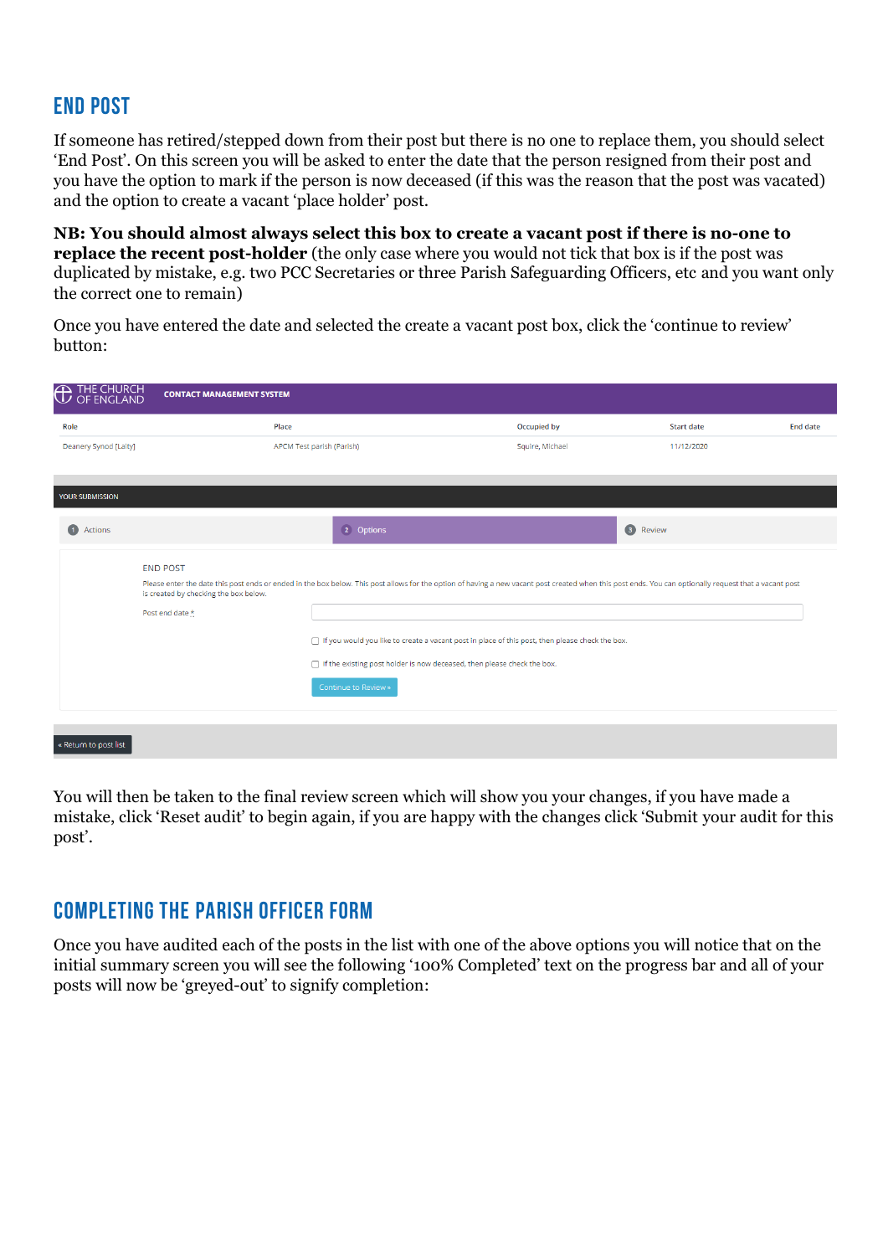# **End Post**

If someone has retired/stepped down from their post but there is no one to replace them, you should select 'End Post'. On this screen you will be asked to enter the date that the person resigned from their post and you have the option to mark if the person is now deceased (if this was the reason that the post was vacated) and the option to create a vacant 'place holder' post.

**NB: You should almost always select this box to create a vacant post if there is no-one to replace the recent post-holder** (the only case where you would not tick that box is if the post was duplicated by mistake, e.g. two PCC Secretaries or three Parish Safeguarding Officers, etc and you want only the correct one to remain)

Once you have entered the date and selected the create a vacant post box, click the 'continue to review' button:

| Role                   | Place                                                                                                                                                                                                                                           | Occupied by                                                                                       | <b>Start date</b> | <b>End date</b> |
|------------------------|-------------------------------------------------------------------------------------------------------------------------------------------------------------------------------------------------------------------------------------------------|---------------------------------------------------------------------------------------------------|-------------------|-----------------|
| Deanery Synod [Laity]  | APCM Test parish (Parish)                                                                                                                                                                                                                       | Squire, Michael                                                                                   | 11/12/2020        |                 |
| <b>YOUR SUBMISSION</b> |                                                                                                                                                                                                                                                 |                                                                                                   |                   |                 |
| $\bullet$<br>Actions   | 2 Options                                                                                                                                                                                                                                       |                                                                                                   | <b>3</b> Review   |                 |
| <b>END POST</b>        |                                                                                                                                                                                                                                                 |                                                                                                   |                   |                 |
|                        | Please enter the date this post ends or ended in the box below. This post allows for the option of having a new vacant post created when this post ends. You can optionally request that a vacant post<br>is created by checking the box below. |                                                                                                   |                   |                 |
| Post end date *        |                                                                                                                                                                                                                                                 |                                                                                                   |                   |                 |
|                        |                                                                                                                                                                                                                                                 | □ If you would you like to create a vacant post in place of this post, then please check the box. |                   |                 |
|                        |                                                                                                                                                                                                                                                 | □ If the existing post holder is now deceased, then please check the box.                         |                   |                 |
|                        | Continue to Review »                                                                                                                                                                                                                            |                                                                                                   |                   |                 |
|                        |                                                                                                                                                                                                                                                 |                                                                                                   |                   |                 |

You will then be taken to the final review screen which will show you your changes, if you have made a mistake, click 'Reset audit' to begin again, if you are happy with the changes click 'Submit your audit for this post'.

## **Completing the Parish Officer Form**

Once you have audited each of the posts in the list with one of the above options you will notice that on the initial summary screen you will see the following '100% Completed' text on the progress bar and all of your posts will now be 'greyed-out' to signify completion: